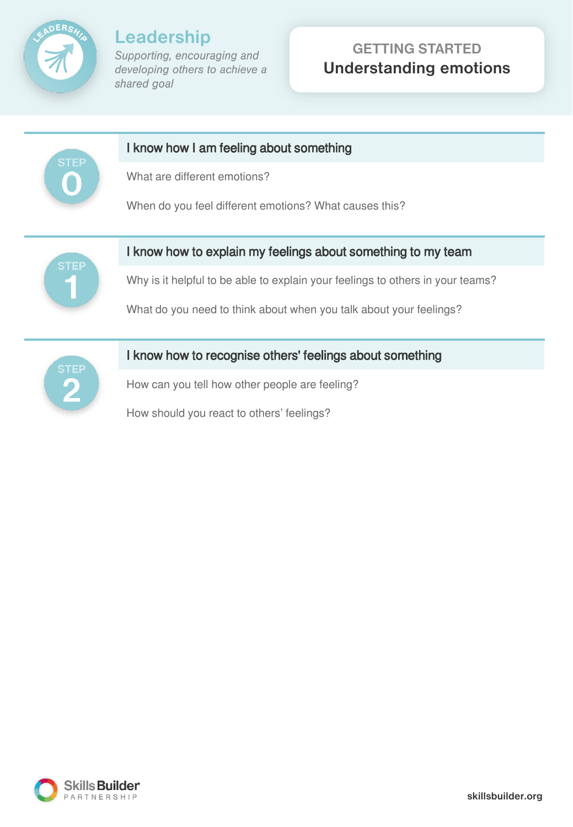

# **GETTING STARTED Understanding emotions**





### I know how to recognise others' feelings about something

How can you tell how other people are feeling?

How should you react to others' feelings?

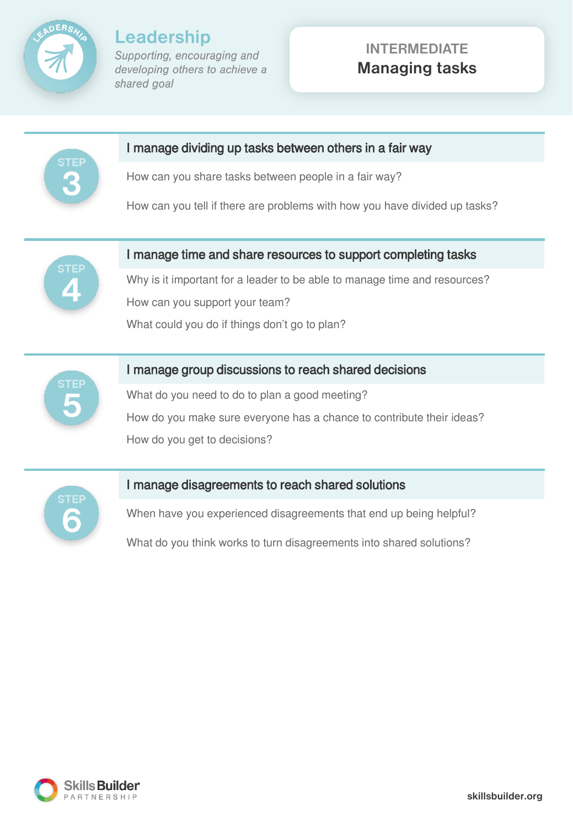

### **INTERMEDIATE Managing tasks**



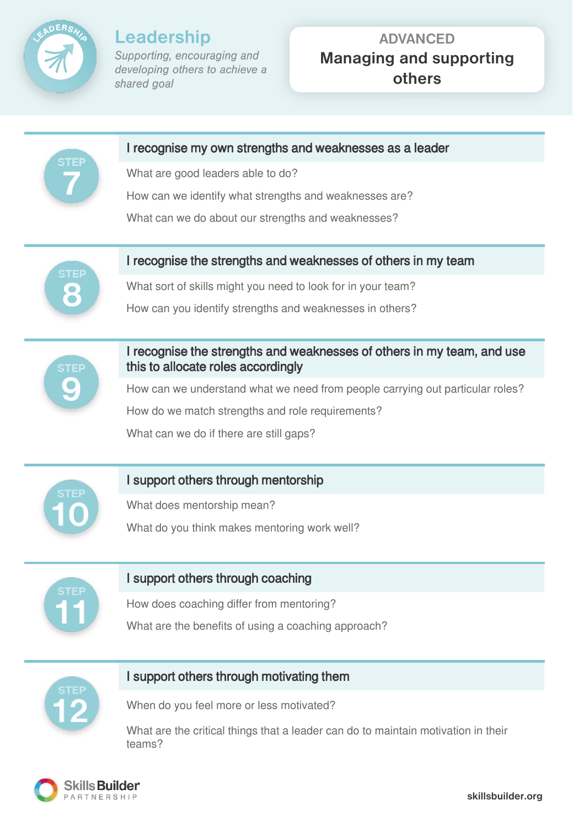